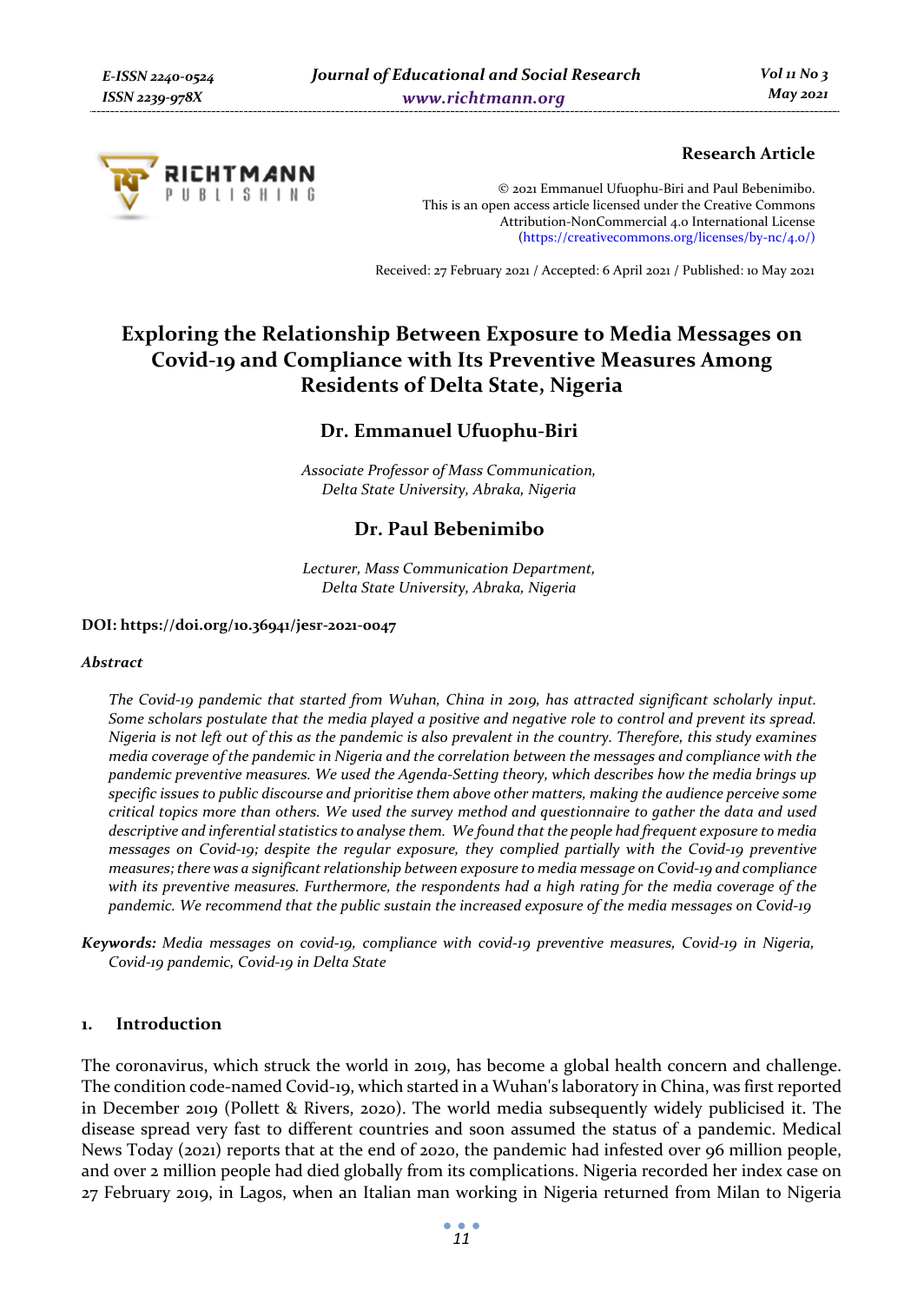

# **Research Article**

© 2021 Emmanuel Ufuophu-Biri and Paul Bebenimibo. This is an open access article licensed under the Creative Commons Attribution-NonCommercial 4.0 International License (https://creativecommons.org/licenses/by-nc/4.0/)

Received: 27 February 2021 / Accepted: 6 April 2021 / Published: 10 May 2021

# **Exploring the Relationship Between Exposure to Media Messages on Covid-19 and Compliance with Its Preventive Measures Among Residents of Delta State, Nigeria**

# **Dr. Emmanuel Ufuophu-Biri**

*Associate Professor of Mass Communication, Delta State University, Abraka, Nigeria* 

# **Dr. Paul Bebenimibo**

*Lecturer, Mass Communication Department, Delta State University, Abraka, Nigeria* 

#### **DOI: https://doi.org/10.36941/jesr-2021-0047**

#### *Abstract*

*The Covid-19 pandemic that started from Wuhan, China in 2019, has attracted significant scholarly input. Some scholars postulate that the media played a positive and negative role to control and prevent its spread. Nigeria is not left out of this as the pandemic is also prevalent in the country. Therefore, this study examines media coverage of the pandemic in Nigeria and the correlation between the messages and compliance with the pandemic preventive measures. We used the Agenda-Setting theory, which describes how the media brings up specific issues to public discourse and prioritise them above other matters, making the audience perceive some critical topics more than others. We used the survey method and questionnaire to gather the data and used descriptive and inferential statistics to analyse them. We found that the people had frequent exposure to media messages on Covid-19; despite the regular exposure, they complied partially with the Covid-19 preventive measures; there was a significant relationship between exposure to media message on Covid-19 and compliance with its preventive measures. Furthermore, the respondents had a high rating for the media coverage of the pandemic. We recommend that the public sustain the increased exposure of the media messages on Covid-19* 

*Keywords: Media messages on covid-19, compliance with covid-19 preventive measures, Covid-19 in Nigeria, Covid-19 pandemic, Covid-19 in Delta State* 

#### **1. Introduction**

The coronavirus, which struck the world in 2019, has become a global health concern and challenge. The condition code-named Covid-19, which started in a Wuhan's laboratory in China, was first reported in December 2019 (Pollett & Rivers, 2020). The world media subsequently widely publicised it. The disease spread very fast to different countries and soon assumed the status of a pandemic. Medical News Today (2021) reports that at the end of 2020, the pandemic had infested over 96 million people, and over 2 million people had died globally from its complications. Nigeria recorded her index case on 27 February 2019, in Lagos, when an Italian man working in Nigeria returned from Milan to Nigeria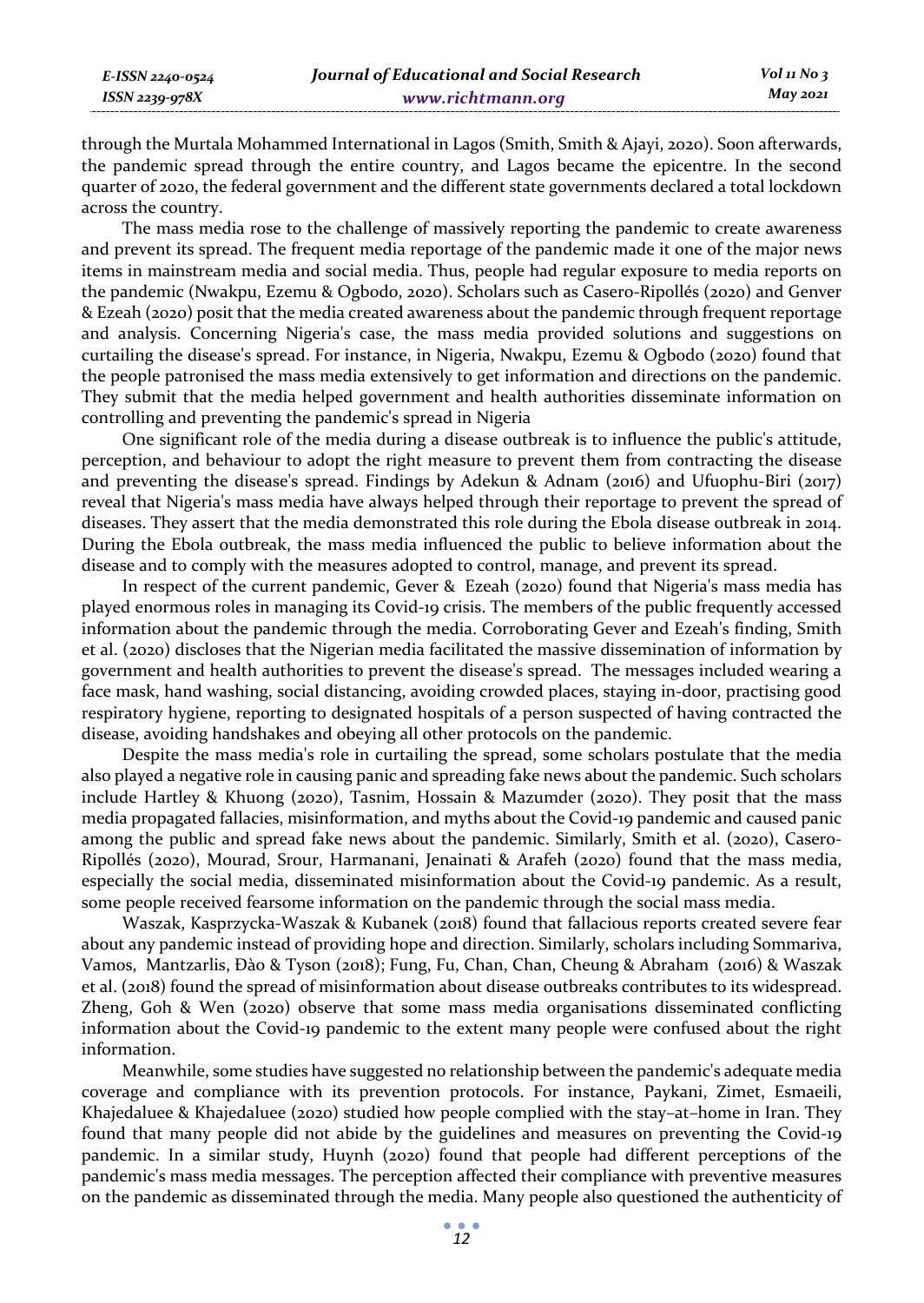*E-ISSN 2240-0524 ISSN 2239-978X*

through the Murtala Mohammed International in Lagos (Smith, Smith & Ajayi, 2020). Soon afterwards, the pandemic spread through the entire country, and Lagos became the epicentre. In the second quarter of 2020, the federal government and the different state governments declared a total lockdown across the country.

The mass media rose to the challenge of massively reporting the pandemic to create awareness and prevent its spread. The frequent media reportage of the pandemic made it one of the major news items in mainstream media and social media. Thus, people had regular exposure to media reports on the pandemic (Nwakpu, Ezemu & Ogbodo, 2020). Scholars such as Casero-Ripollés (2020) and Genver & Ezeah (2020) posit that the media created awareness about the pandemic through frequent reportage and analysis. Concerning Nigeria's case, the mass media provided solutions and suggestions on curtailing the disease's spread. For instance, in Nigeria, Nwakpu, Ezemu & Ogbodo (2020) found that the people patronised the mass media extensively to get information and directions on the pandemic. They submit that the media helped government and health authorities disseminate information on controlling and preventing the pandemic's spread in Nigeria

One significant role of the media during a disease outbreak is to influence the public's attitude, perception, and behaviour to adopt the right measure to prevent them from contracting the disease and preventing the disease's spread. Findings by Adekun & Adnam (2016) and Ufuophu-Biri (2017) reveal that Nigeria's mass media have always helped through their reportage to prevent the spread of diseases. They assert that the media demonstrated this role during the Ebola disease outbreak in 2014. During the Ebola outbreak, the mass media influenced the public to believe information about the disease and to comply with the measures adopted to control, manage, and prevent its spread.

In respect of the current pandemic, Gever & Ezeah (2020) found that Nigeria's mass media has played enormous roles in managing its Covid-19 crisis. The members of the public frequently accessed information about the pandemic through the media. Corroborating Gever and Ezeah's finding, Smith et al. (2020) discloses that the Nigerian media facilitated the massive dissemination of information by government and health authorities to prevent the disease's spread. The messages included wearing a face mask, hand washing, social distancing, avoiding crowded places, staying in-door, practising good respiratory hygiene, reporting to designated hospitals of a person suspected of having contracted the disease, avoiding handshakes and obeying all other protocols on the pandemic.

Despite the mass media's role in curtailing the spread, some scholars postulate that the media also played a negative role in causing panic and spreading fake news about the pandemic. Such scholars include Hartley & Khuong (2020), Tasnim, Hossain & Mazumder (2020). They posit that the mass media propagated fallacies, misinformation, and myths about the Covid-19 pandemic and caused panic among the public and spread fake news about the pandemic. Similarly, Smith et al. (2020), Casero-Ripollés (2020), Mourad, Srour, Harmanani, Jenainati & Arafeh (2020) found that the mass media, especially the social media, disseminated misinformation about the Covid-19 pandemic. As a result, some people received fearsome information on the pandemic through the social mass media.

Waszak, Kasprzycka-Waszak & Kubanek (2018) found that fallacious reports created severe fear about any pandemic instead of providing hope and direction. Similarly, scholars including Sommariva, Vamos, Mantzarlis, Đào & Tyson (2018); Fung, Fu, Chan, Chan, Cheung & Abraham (2016) & Waszak et al. (2018) found the spread of misinformation about disease outbreaks contributes to its widespread. Zheng, Goh & Wen (2020) observe that some mass media organisations disseminated conflicting information about the Covid-19 pandemic to the extent many people were confused about the right information.

Meanwhile, some studies have suggested no relationship between the pandemic's adequate media coverage and compliance with its prevention protocols. For instance, Paykani, Zimet, Esmaeili, Khajedaluee & Khajedaluee (2020) studied how people complied with the stay–at–home in Iran. They found that many people did not abide by the guidelines and measures on preventing the Covid-19 pandemic. In a similar study, Huynh (2020) found that people had different perceptions of the pandemic's mass media messages. The perception affected their compliance with preventive measures on the pandemic as disseminated through the media. Many people also questioned the authenticity of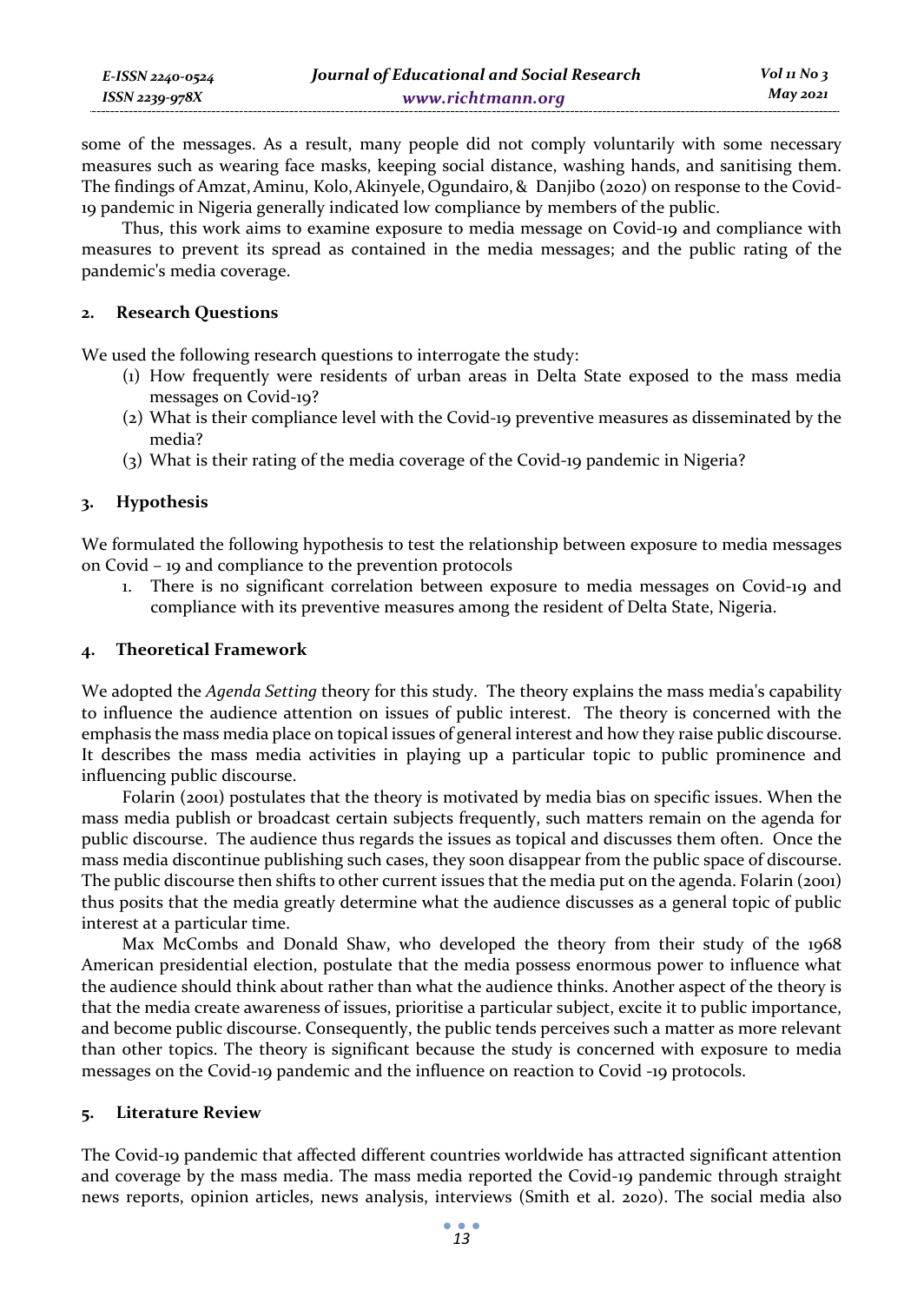some of the messages. As a result, many people did not comply voluntarily with some necessary measures such as wearing face masks, keeping social distance, washing hands, and sanitising them. The findings of Amzat,Aminu, Kolo,Akinyele, Ogundairo,& Danjibo (2020) on response to the Covid-19 pandemic in Nigeria generally indicated low compliance by members of the public.

Thus, this work aims to examine exposure to media message on Covid-19 and compliance with measures to prevent its spread as contained in the media messages; and the public rating of the pandemic's media coverage.

## **2. Research Questions**

*E-ISSN 2240-0524 ISSN 2239-978X*

We used the following research questions to interrogate the study:

- (1) How frequently were residents of urban areas in Delta State exposed to the mass media messages on Covid-19?
- (2) What is their compliance level with the Covid-19 preventive measures as disseminated by the media?
- (3) What is their rating of the media coverage of the Covid-19 pandemic in Nigeria?

### **3. Hypothesis**

We formulated the following hypothesis to test the relationship between exposure to media messages on Covid – 19 and compliance to the prevention protocols

1. There is no significant correlation between exposure to media messages on Covid-19 and compliance with its preventive measures among the resident of Delta State, Nigeria.

#### **4. Theoretical Framework**

We adopted the *Agenda Setting* theory for this study. The theory explains the mass media's capability to influence the audience attention on issues of public interest. The theory is concerned with the emphasis the mass media place on topical issues of general interest and how they raise public discourse. It describes the mass media activities in playing up a particular topic to public prominence and influencing public discourse.

Folarin (2001) postulates that the theory is motivated by media bias on specific issues. When the mass media publish or broadcast certain subjects frequently, such matters remain on the agenda for public discourse. The audience thus regards the issues as topical and discusses them often. Once the mass media discontinue publishing such cases, they soon disappear from the public space of discourse. The public discourse then shifts to other current issues that the media put on the agenda. Folarin (2001) thus posits that the media greatly determine what the audience discusses as a general topic of public interest at a particular time.

Max McCombs and Donald Shaw, who developed the theory from their study of the 1968 American presidential election, postulate that the media possess enormous power to influence what the audience should think about rather than what the audience thinks. Another aspect of the theory is that the media create awareness of issues, prioritise a particular subject, excite it to public importance, and become public discourse. Consequently, the public tends perceives such a matter as more relevant than other topics. The theory is significant because the study is concerned with exposure to media messages on the Covid-19 pandemic and the influence on reaction to Covid -19 protocols.

#### **5. Literature Review**

The Covid-19 pandemic that affected different countries worldwide has attracted significant attention and coverage by the mass media. The mass media reported the Covid-19 pandemic through straight news reports, opinion articles, news analysis, interviews (Smith et al. 2020). The social media also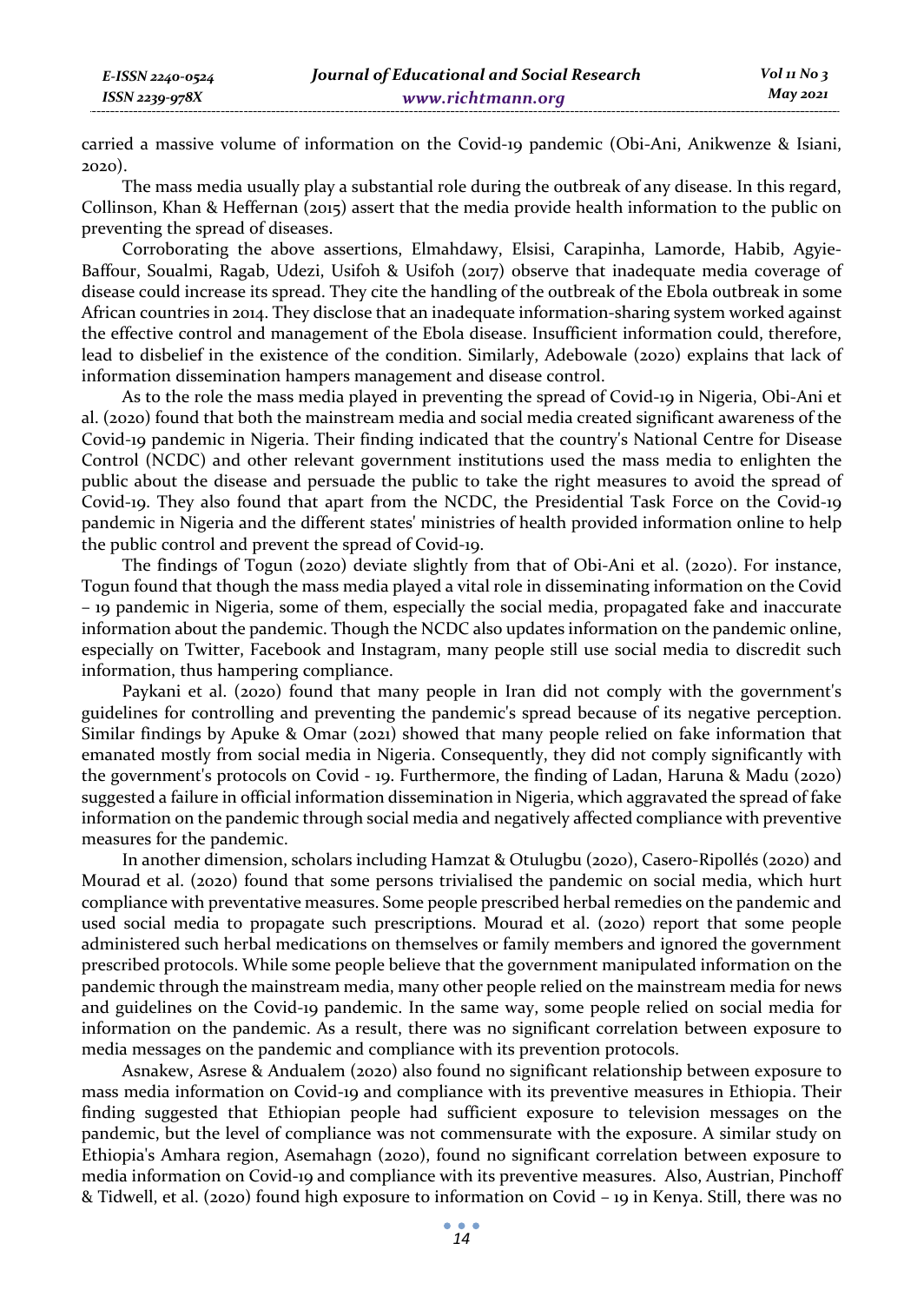carried a massive volume of information on the Covid-19 pandemic (Obi-Ani, Anikwenze & Isiani, 2020).

The mass media usually play a substantial role during the outbreak of any disease. In this regard, Collinson, Khan & Heffernan (2015) assert that the media provide health information to the public on preventing the spread of diseases.

Corroborating the above assertions, Elmahdawy, Elsisi, Carapinha, Lamorde, Habib, Agyie-Baffour, Soualmi, Ragab, Udezi, Usifoh & Usifoh (2017) observe that inadequate media coverage of disease could increase its spread. They cite the handling of the outbreak of the Ebola outbreak in some African countries in 2014. They disclose that an inadequate information-sharing system worked against the effective control and management of the Ebola disease. Insufficient information could, therefore, lead to disbelief in the existence of the condition. Similarly, Adebowale (2020) explains that lack of information dissemination hampers management and disease control.

As to the role the mass media played in preventing the spread of Covid-19 in Nigeria, Obi-Ani et al. (2020) found that both the mainstream media and social media created significant awareness of the Covid-19 pandemic in Nigeria. Their finding indicated that the country's National Centre for Disease Control (NCDC) and other relevant government institutions used the mass media to enlighten the public about the disease and persuade the public to take the right measures to avoid the spread of Covid-19. They also found that apart from the NCDC, the Presidential Task Force on the Covid-19 pandemic in Nigeria and the different states' ministries of health provided information online to help the public control and prevent the spread of Covid-19.

The findings of Togun (2020) deviate slightly from that of Obi-Ani et al. (2020). For instance, Togun found that though the mass media played a vital role in disseminating information on the Covid – 19 pandemic in Nigeria, some of them, especially the social media, propagated fake and inaccurate information about the pandemic. Though the NCDC also updates information on the pandemic online, especially on Twitter, Facebook and Instagram, many people still use social media to discredit such information, thus hampering compliance.

Paykani et al. (2020) found that many people in Iran did not comply with the government's guidelines for controlling and preventing the pandemic's spread because of its negative perception. Similar findings by Apuke & Omar (2021) showed that many people relied on fake information that emanated mostly from social media in Nigeria. Consequently, they did not comply significantly with the government's protocols on Covid - 19. Furthermore, the finding of Ladan, Haruna & Madu (2020) suggested a failure in official information dissemination in Nigeria, which aggravated the spread of fake information on the pandemic through social media and negatively affected compliance with preventive measures for the pandemic.

In another dimension, scholars including Hamzat & Otulugbu (2020), Casero-Ripollés (2020) and Mourad et al. (2020) found that some persons trivialised the pandemic on social media, which hurt compliance with preventative measures. Some people prescribed herbal remedies on the pandemic and used social media to propagate such prescriptions. Mourad et al. (2020) report that some people administered such herbal medications on themselves or family members and ignored the government prescribed protocols. While some people believe that the government manipulated information on the pandemic through the mainstream media, many other people relied on the mainstream media for news and guidelines on the Covid-19 pandemic. In the same way, some people relied on social media for information on the pandemic. As a result, there was no significant correlation between exposure to media messages on the pandemic and compliance with its prevention protocols.

Asnakew, Asrese & Andualem (2020) also found no significant relationship between exposure to mass media information on Covid-19 and compliance with its preventive measures in Ethiopia. Their finding suggested that Ethiopian people had sufficient exposure to television messages on the pandemic, but the level of compliance was not commensurate with the exposure. A similar study on Ethiopia's Amhara region, Asemahagn (2020), found no significant correlation between exposure to media information on Covid-19 and compliance with its preventive measures. Also, Austrian, Pinchoff & Tidwell, et al. (2020) found high exposure to information on Covid – 19 in Kenya. Still, there was no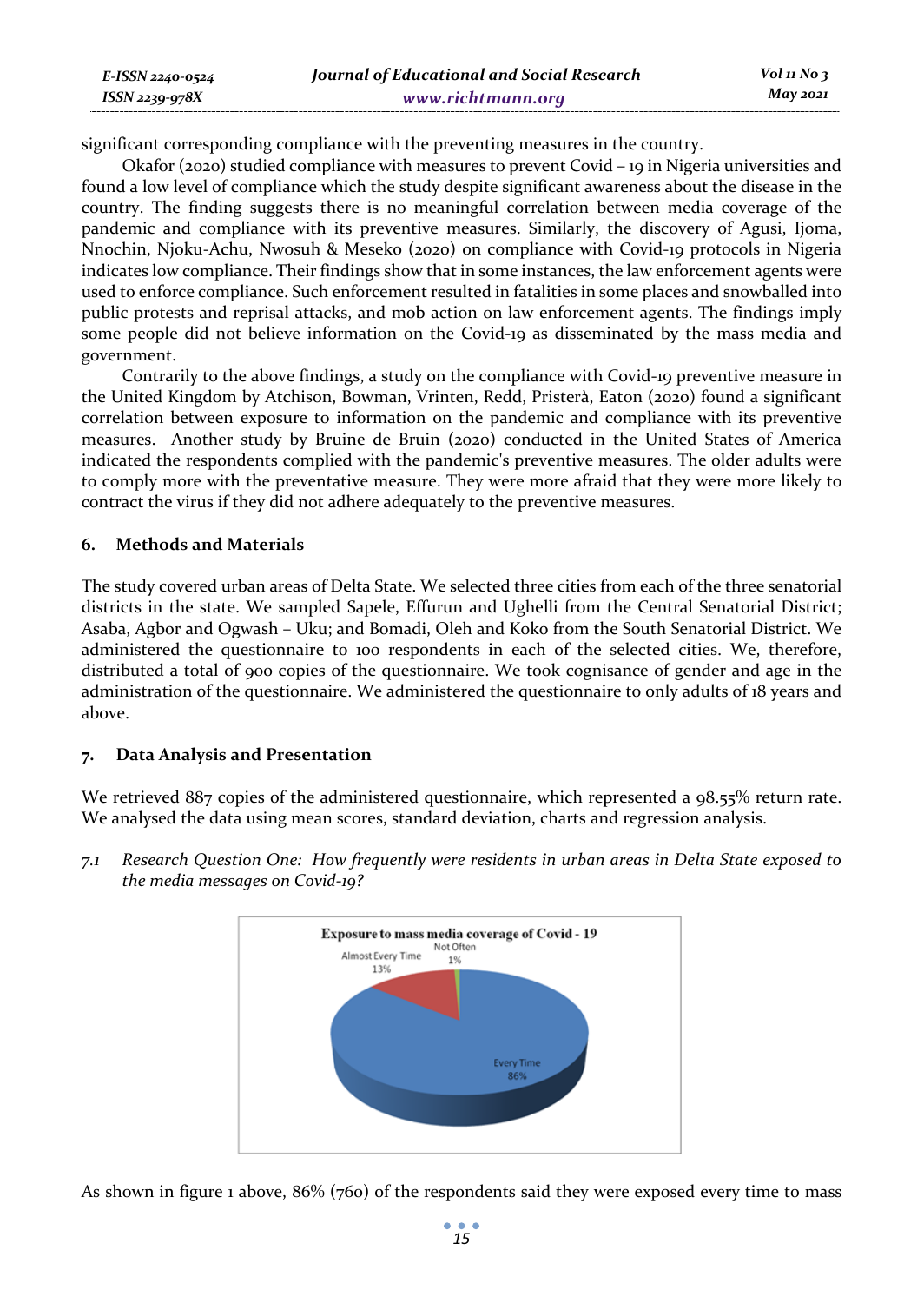| E-ISSN 2240-0524 | Journal of Educational and Social Research | $Vol_1N_0$ 3 |
|------------------|--------------------------------------------|--------------|
| ISSN 2239-978X   | www.richtmann.org                          | May 2021     |

significant corresponding compliance with the preventing measures in the country.

Okafor (2020) studied compliance with measures to prevent Covid – 19 in Nigeria universities and found a low level of compliance which the study despite significant awareness about the disease in the country. The finding suggests there is no meaningful correlation between media coverage of the pandemic and compliance with its preventive measures. Similarly, the discovery of Agusi, Ijoma, Nnochin, Njoku-Achu, Nwosuh & Meseko (2020) on compliance with Covid-19 protocols in Nigeria indicates low compliance. Their findings show that in some instances, the law enforcement agents were used to enforce compliance. Such enforcement resulted in fatalities in some places and snowballed into public protests and reprisal attacks, and mob action on law enforcement agents. The findings imply some people did not believe information on the Covid-19 as disseminated by the mass media and government.

Contrarily to the above findings, a study on the compliance with Covid-19 preventive measure in the United Kingdom by Atchison, Bowman, Vrinten, Redd, Pristerà, Eaton (2020) found a significant correlation between exposure to information on the pandemic and compliance with its preventive measures. Another study by Bruine de Bruin (2020) conducted in the United States of America indicated the respondents complied with the pandemic's preventive measures. The older adults were to comply more with the preventative measure. They were more afraid that they were more likely to contract the virus if they did not adhere adequately to the preventive measures.

#### **6. Methods and Materials**

The study covered urban areas of Delta State. We selected three cities from each of the three senatorial districts in the state. We sampled Sapele, Effurun and Ughelli from the Central Senatorial District; Asaba, Agbor and Ogwash – Uku; and Bomadi, Oleh and Koko from the South Senatorial District. We administered the questionnaire to 100 respondents in each of the selected cities. We, therefore, distributed a total of 900 copies of the questionnaire. We took cognisance of gender and age in the administration of the questionnaire. We administered the questionnaire to only adults of 18 years and above.

#### **7. Data Analysis and Presentation**

We retrieved 887 copies of the administered questionnaire, which represented a 98.55% return rate. We analysed the data using mean scores, standard deviation, charts and regression analysis.



*7.1 Research Question One: How frequently were residents in urban areas in Delta State exposed to the media messages on Covid-19?* 

As shown in figure 1 above, 86% (760) of the respondents said they were exposed every time to mass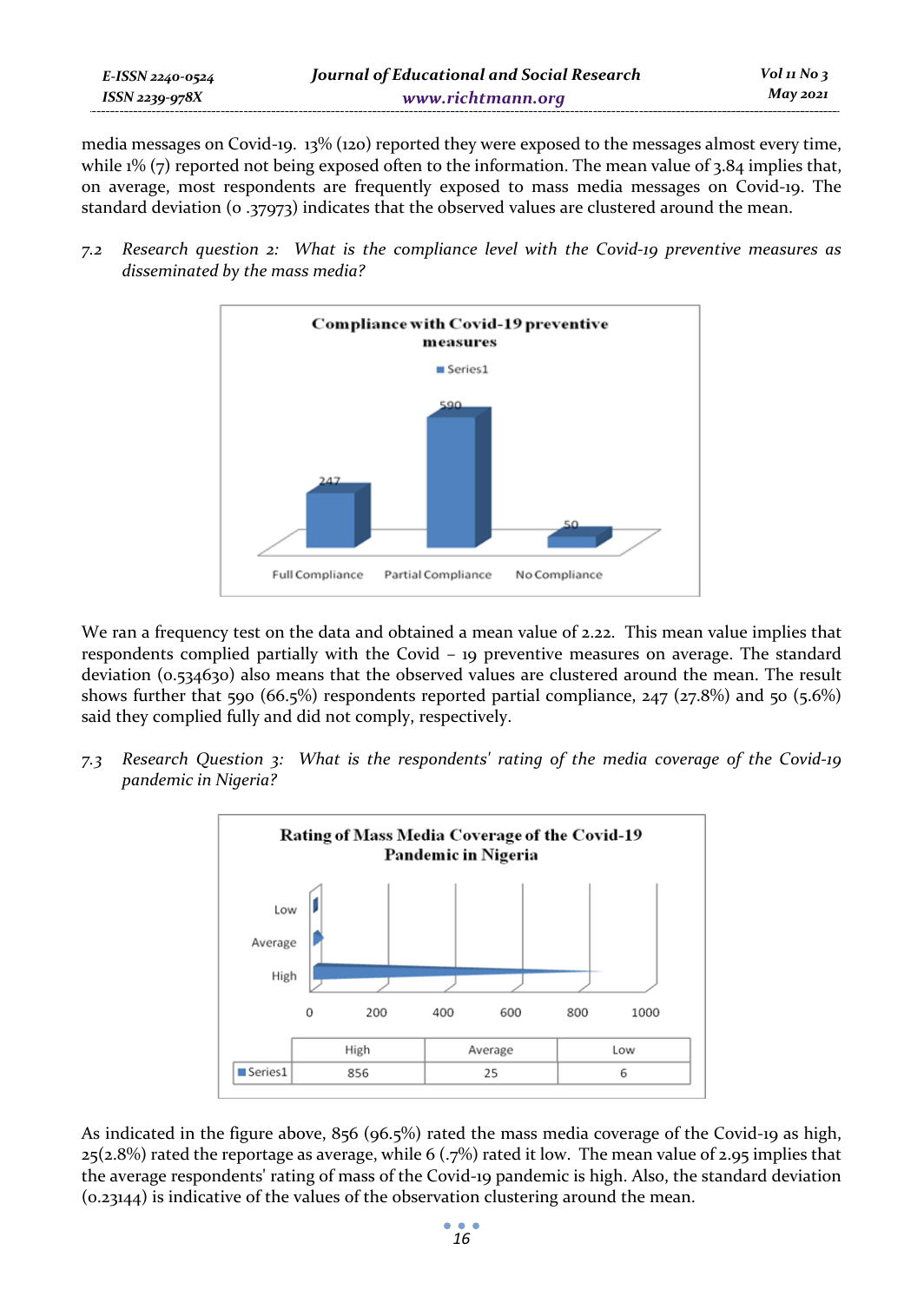media messages on Covid-19. 13% (120) reported they were exposed to the messages almost every time, while  $1\%$  (7) reported not being exposed often to the information. The mean value of 3.84 implies that, on average, most respondents are frequently exposed to mass media messages on Covid-19. The standard deviation (0 .37973) indicates that the observed values are clustered around the mean.

*7.2 Research question 2: What is the compliance level with the Covid-19 preventive measures as disseminated by the mass media?*



We ran a frequency test on the data and obtained a mean value of 2.22. This mean value implies that respondents complied partially with the Covid – 19 preventive measures on average. The standard deviation (0.534630) also means that the observed values are clustered around the mean. The result shows further that 590 (66.5%) respondents reported partial compliance,  $247 (27.8%)$  and 50 (5.6%) said they complied fully and did not comply, respectively.

*7.3 Research Question 3: What is the respondents' rating of the media coverage of the Covid-19 pandemic in Nigeria?* 



As indicated in the figure above, 856 (96.5%) rated the mass media coverage of the Covid-19 as high,  $25(2.8%)$  rated the reportage as average, while 6 (.7%) rated it low. The mean value of 2.95 implies that the average respondents' rating of mass of the Covid-19 pandemic is high. Also, the standard deviation (0.23144) is indicative of the values of the observation clustering around the mean.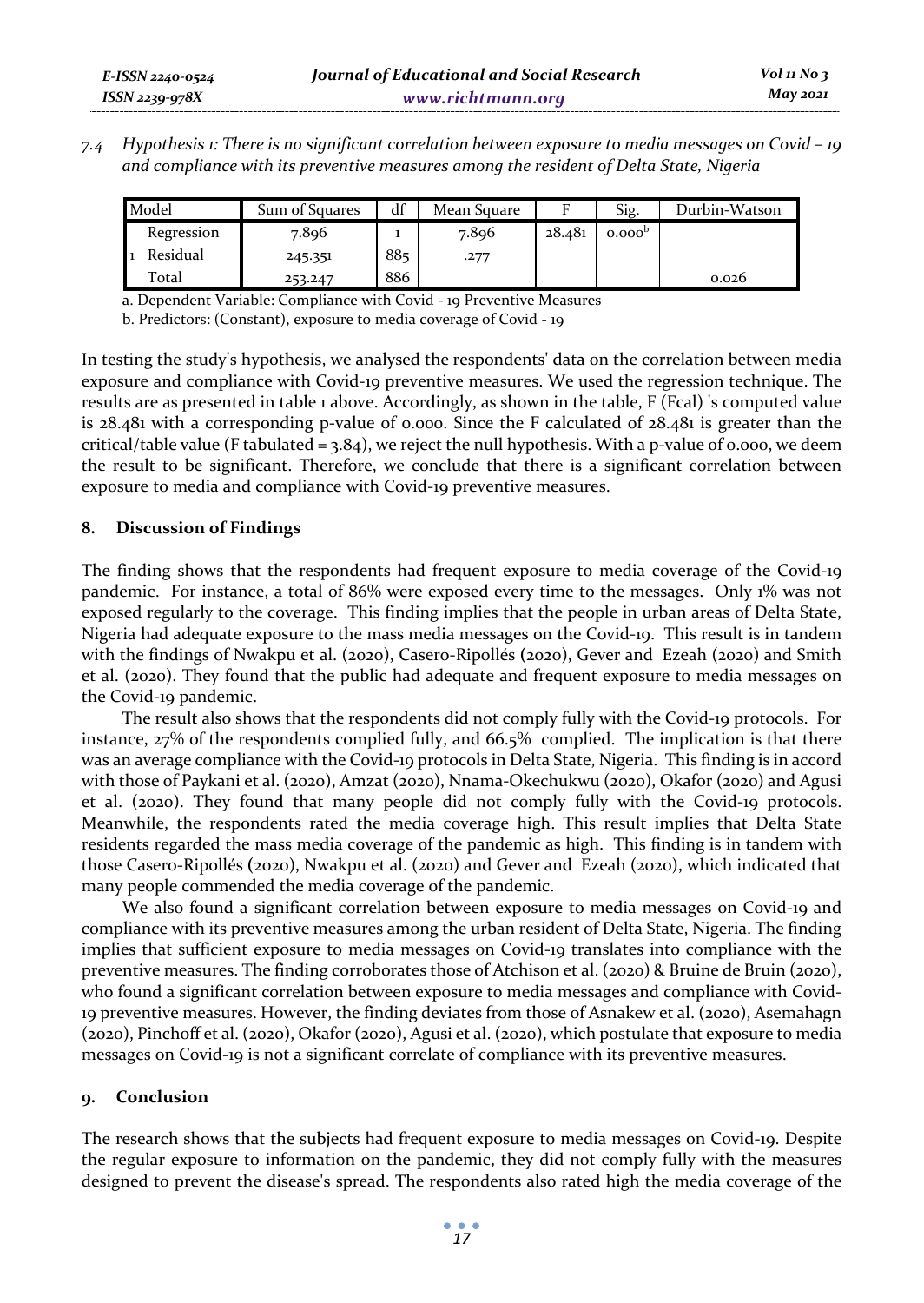*7.4 Hypothesis 1: There is no significant correlation between exposure to media messages on Covid – 19 and compliance with its preventive measures among the resident of Delta State, Nigeria* 

| Model      | Sum of Squares | df  | Mean Square |        | Sig.               | Durbin-Watson |
|------------|----------------|-----|-------------|--------|--------------------|---------------|
| Regression | 7.896          |     | 7.896       | 28.481 | 0.000 <sup>b</sup> |               |
| Residual   | 245.351        | 885 | .277        |        |                    |               |
| Total      | 253.247        | 886 |             |        |                    | 0.026         |

a. Dependent Variable: Compliance with Covid - 19 Preventive Measures

b. Predictors: (Constant), exposure to media coverage of Covid - 19

In testing the study's hypothesis, we analysed the respondents' data on the correlation between media exposure and compliance with Covid-19 preventive measures. We used the regression technique. The results are as presented in table 1 above. Accordingly, as shown in the table, F (Fcal) 's computed value is 28.481 with a corresponding p-value of 0.000. Since the F calculated of 28.481 is greater than the critical/table value (F tabulated =  $3.84$ ), we reject the null hypothesis. With a p-value of 0.000, we deem the result to be significant. Therefore, we conclude that there is a significant correlation between exposure to media and compliance with Covid-19 preventive measures.

# **8. Discussion of Findings**

The finding shows that the respondents had frequent exposure to media coverage of the Covid-19 pandemic. For instance, a total of 86% were exposed every time to the messages. Only 1% was not exposed regularly to the coverage. This finding implies that the people in urban areas of Delta State, Nigeria had adequate exposure to the mass media messages on the Covid-19. This result is in tandem with the findings of Nwakpu et al. (2020), Casero-Ripollés **(**2020), Gever and Ezeah (2020) and Smith et al. (2020). They found that the public had adequate and frequent exposure to media messages on the Covid-19 pandemic.

The result also shows that the respondents did not comply fully with the Covid-19 protocols. For instance, 27% of the respondents complied fully, and 66.5% complied. The implication is that there was an average compliance with the Covid-19 protocols in Delta State, Nigeria. This finding is in accord with those of Paykani et al. (2020), Amzat (2020), Nnama-Okechukwu (2020), Okafor (2020) and Agusi et al. (2020). They found that many people did not comply fully with the Covid-19 protocols. Meanwhile, the respondents rated the media coverage high. This result implies that Delta State residents regarded the mass media coverage of the pandemic as high. This finding is in tandem with those Casero-Ripollés **(**2020), Nwakpu et al. (2020) and Gever and Ezeah (2020), which indicated that many people commended the media coverage of the pandemic.

We also found a significant correlation between exposure to media messages on Covid-19 and compliance with its preventive measures among the urban resident of Delta State, Nigeria. The finding implies that sufficient exposure to media messages on Covid-19 translates into compliance with the preventive measures. The finding corroborates those of Atchison et al. (2020) & Bruine de Bruin (2020), who found a significant correlation between exposure to media messages and compliance with Covid-19 preventive measures. However, the finding deviates from those of Asnakew et al. (2020), Asemahagn (2020), Pinchoff et al. (2020), Okafor (2020), Agusi et al. (2020), which postulate that exposure to media messages on Covid-19 is not a significant correlate of compliance with its preventive measures.

# **9. Conclusion**

The research shows that the subjects had frequent exposure to media messages on Covid-19. Despite the regular exposure to information on the pandemic, they did not comply fully with the measures designed to prevent the disease's spread. The respondents also rated high the media coverage of the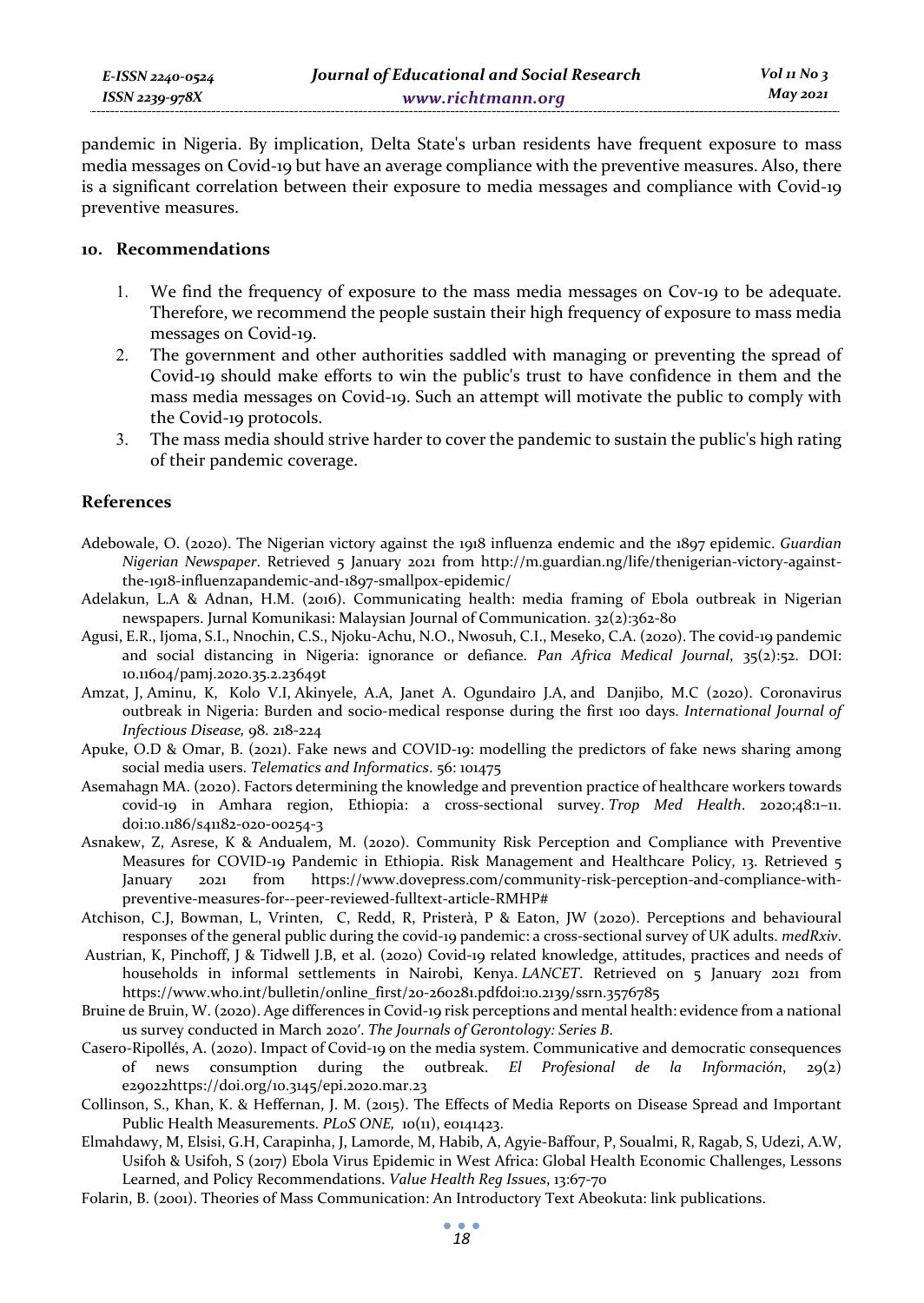| E-ISSN 2240-0524 |  |
|------------------|--|
| ISSN 2239-978X   |  |

pandemic in Nigeria. By implication, Delta State's urban residents have frequent exposure to mass media messages on Covid-19 but have an average compliance with the preventive measures. Also, there is a significant correlation between their exposure to media messages and compliance with Covid-19 preventive measures.

## **10. Recommendations**

- 1. We find the frequency of exposure to the mass media messages on Cov-19 to be adequate. Therefore, we recommend the people sustain their high frequency of exposure to mass media messages on Covid-19.
- 2. The government and other authorities saddled with managing or preventing the spread of Covid-19 should make efforts to win the public's trust to have confidence in them and the mass media messages on Covid-19. Such an attempt will motivate the public to comply with the Covid-19 protocols.
- 3. The mass media should strive harder to cover the pandemic to sustain the public's high rating of their pandemic coverage.

## **References**

- Adebowale, O. (2020). The Nigerian victory against the 1918 influenza endemic and the 1897 epidemic. *Guardian Nigerian Newspaper*. Retrieved 5 January 2021 from http://m.guardian.ng/life/thenigerian-victory-againstthe-1918-influenzapandemic-and-1897-smallpox-epidemic/
- Adelakun, L.A & Adnan, H.M. (2016). Communicating health: media framing of Ebola outbreak in Nigerian newspapers. Jurnal Komunikasi: Malaysian Journal of Communication. 32(2):362-80
- Agusi, E.R., Ijoma, S.I., Nnochin, C.S., Njoku-Achu, N.O., Nwosuh, C.I., Meseko, C.A. (2020). The covid-19 pandemic and social distancing in Nigeria: ignorance or defiance. *Pan Africa Medical Journal*, 35(2):52. DOI: 10.11604/pamj.2020.35.2.23649t
- Amzat, J, Aminu, K, Kolo V.I, Akinyele, A.A, Janet A. Ogundairo J.A, and Danjibo, M.C (2020). Coronavirus outbreak in Nigeria: Burden and socio-medical response during the first 100 days. *International Journal of Infectious Disease,* 98. 218-224
- Apuke, O.D & Omar, B. (2021). Fake news and COVID-19: modelling the predictors of fake news sharing among social media users. *Telematics and Informatics*. 56: 101475
- Asemahagn MA. (2020). Factors determining the knowledge and prevention practice of healthcare workers towards covid-19 in Amhara region, Ethiopia: a cross-sectional survey. *Trop Med Health*. 2020;48:1–11. doi:10.1186/s41182-020-00254-3
- Asnakew, Z, Asrese, K & Andualem, M. (2020). Community Risk Perception and Compliance with Preventive Measures for COVID-19 Pandemic in Ethiopia. Risk Management and Healthcare Policy, 13. Retrieved 5 January 2021 from https://www.dovepress.com/community-risk-perception-and-compliance-withpreventive-measures-for--peer-reviewed-fulltext-article-RMHP#
- Atchison, C.J, Bowman, L, Vrinten, C, Redd, R, Pristerà, P & Eaton, JW (2020). Perceptions and behavioural responses of the general public during the covid-19 pandemic: a cross-sectional survey of UK adults. *medRxiv*.
- Austrian, K, Pinchoff, J & Tidwell J.B, et al. (2020) Covid-19 related knowledge, attitudes, practices and needs of households in informal settlements in Nairobi, Kenya. *LANCET*. Retrieved on 5 January 2021 from https://www.who.int/bulletin/online\_first/20-260281.pdfdoi:10.2139/ssrn.3576785
- Bruine de Bruin, W. (2020). Age differences in Covid-19 risk perceptions and mental health: evidence from a national us survey conducted in March 2020ʹ. *The Journals of Gerontology: Series B*.
- Casero-Ripollés, A. (2020). Impact of Covid-19 on the media system. Communicative and democratic consequences of news consumption during the outbreak. *El Profesional de la Información*, 29(2) e29022https://doi.org/10.3145/epi.2020.mar.23
- Collinson, S., Khan, K. & Heffernan, J. M. (2015). The Effects of Media Reports on Disease Spread and Important Public Health Measurements. *PLoS ONE*,  $10(11)$ , e0141423.
- Elmahdawy, M, Elsisi, G.H, Carapinha, J, Lamorde, M, Habib, A, Agyie-Baffour, P, Soualmi, R, Ragab, S, Udezi, A.W, Usifoh & Usifoh, S (2017) Ebola Virus Epidemic in West Africa: Global Health Economic Challenges, Lessons Learned, and Policy Recommendations. *Value Health Reg Issues*, 13:67-70
- Folarin, B. (2001). Theories of Mass Communication: An Introductory Text Abeokuta: link publications.